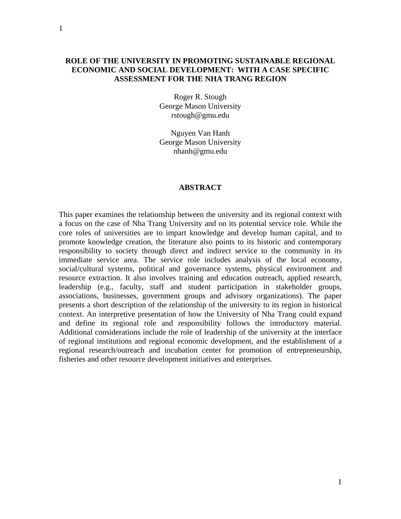Roger R. Stough George Mason University rstough@gmu.edu

Nguyen Van Hanh George Mason University nhanh@gmu.edu

#### **ABSTRACT**

This paper examines the relationship between the university and its regional context with a focus on the case of Nha Trang University and on its potential service role. While the core roles of universities are to impart knowledge and develop human capital, and to promote knowledge creation, the literature also points to its historic and contemporary responsibility to society through direct and indirect service to the community in its immediate service area. The service role includes analysis of the local economy, social/cultural systems, political and governance systems, physical environment and resource extraction. It also involves training and education outreach, applied research, leadership (e.g., faculty, staff and student participation in stakeholder groups, associations, businesses, government groups and advisory organizations). The paper presents a short description of the relationship of the university to its region in historical context. An interpretive presentation of how the University of Nha Trang could expand and define its regional role and responsibility follows the introductory material. Additional considerations include the role of leadership of the university at the interface of regional institutions and regional economic development, and the establishment of a regional research/outreach and incubation center for promotion of entrepreneurship, fisheries and other resource development initiatives and enterprises.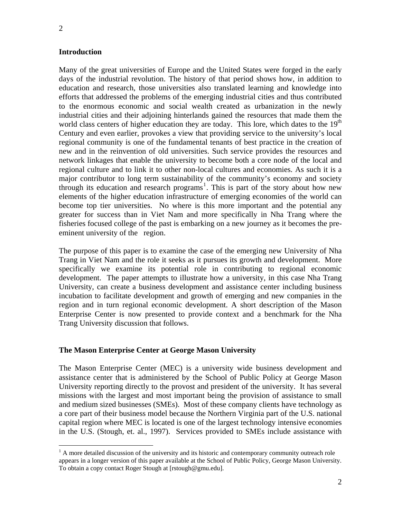$\overline{a}$ 

#### **Introduction**

Many of the great universities of Europe and the United States were forged in the early days of the industrial revolution. The history of that period shows how, in addition to education and research, those universities also translated learning and knowledge into efforts that addressed the problems of the emerging industrial cities and thus contributed to the enormous economic and social wealth created as urbanization in the newly industrial cities and their adjoining hinterlands gained the resources that made them the world class centers of higher education they are today. This lore, which dates to the  $19<sup>th</sup>$ Century and even earlier, provokes a view that providing service to the university's local regional community is one of the fundamental tenants of best practice in the creation of new and in the reinvention of old universities. Such service provides the resources and network linkages that enable the university to become both a core node of the local and regional culture and to link it to other non-local cultures and economies. As such it is a major contributor to long term sustainability of the community's economy and society through its education and research programs<sup>[1](#page-1-0)</sup>. This is part of the story about how new elements of the higher education infrastructure of emerging economies of the world can become top tier universities. No where is this more important and the potential any greater for success than in Viet Nam and more specifically in Nha Trang where the fisheries focused college of the past is embarking on a new journey as it becomes the preeminent university of the region.

The purpose of this paper is to examine the case of the emerging new University of Nha Trang in Viet Nam and the role it seeks as it pursues its growth and development. More specifically we examine its potential role in contributing to regional economic development. The paper attempts to illustrate how a university, in this case Nha Trang University, can create a business development and assistance center including business incubation to facilitate development and growth of emerging and new companies in the region and in turn regional economic development. A short description of the Mason Enterprise Center is now presented to provide context and a benchmark for the Nha Trang University discussion that follows.

#### **The Mason Enterprise Center at George Mason University**

The Mason Enterprise Center (MEC) is a university wide business development and assistance center that is administered by the School of Public Policy at George Mason University reporting directly to the provost and president of the university. It has several missions with the largest and most important being the provision of assistance to small and medium sized businesses (SMEs). Most of these company clients have technology as a core part of their business model because the Northern Virginia part of the U.S. national capital region where MEC is located is one of the largest technology intensive economies in the U.S. (Stough, et. al., 1997). Services provided to SMEs include assistance with

<span id="page-1-0"></span> $<sup>1</sup>$  A more detailed discussion of the university and its historic and contemporary community outreach role</sup> appears in a longer version of this paper available at the School of Public Policy, George Mason University. To obtain a copy contact Roger Stough at [rstough@gmu.edu].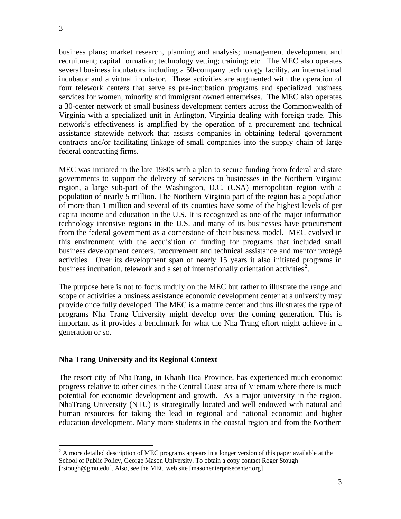$\overline{a}$ 

business plans; market research, planning and analysis; management development and recruitment; capital formation; technology vetting; training; etc. The MEC also operates several business incubators including a 50-company technology facility, an international incubator and a virtual incubator. These activities are augmented with the operation of four telework centers that serve as pre-incubation programs and specialized business services for women, minority and immigrant owned enterprises. The MEC also operates a 30-center network of small business development centers across the Commonwealth of Virginia with a specialized unit in Arlington, Virginia dealing with foreign trade. This network's effectiveness is amplified by the operation of a procurement and technical assistance statewide network that assists companies in obtaining federal government contracts and/or facilitating linkage of small companies into the supply chain of large federal contracting firms.

MEC was initiated in the late 1980s with a plan to secure funding from federal and state governments to support the delivery of services to businesses in the Northern Virginia region, a large sub-part of the Washington, D.C. (USA) metropolitan region with a population of nearly 5 million. The Northern Virginia part of the region has a population of more than 1 million and several of its counties have some of the highest levels of per capita income and education in the U.S. It is recognized as one of the major information technology intensive regions in the U.S. and many of its businesses have procurement from the federal government as a cornerstone of their business model. MEC evolved in this environment with the acquisition of funding for programs that included small business development centers, procurement and technical assistance and mentor protégé activities. Over its development span of nearly 15 years it also initiated programs in business incubation, telework and a set of internationally orientation activities<sup>[2](#page-2-0)</sup>.

The purpose here is not to focus unduly on the MEC but rather to illustrate the range and scope of activities a business assistance economic development center at a university may provide once fully developed. The MEC is a mature center and thus illustrates the type of programs Nha Trang University might develop over the coming generation. This is important as it provides a benchmark for what the Nha Trang effort might achieve in a generation or so.

# **Nha Trang University and its Regional Context**

The resort city of NhaTrang, in Khanh Hoa Province, has experienced much economic progress relative to other cities in the Central Coast area of Vietnam where there is much potential for economic development and growth. As a major university in the region, NhaTrang University (NTU) is strategically located and well endowed with natural and human resources for taking the lead in regional and national economic and higher education development. Many more students in the coastal region and from the Northern

<span id="page-2-0"></span> $2^2$  A more detailed description of MEC programs appears in a longer version of this paper available at the School of Public Policy, George Mason University. To obtain a copy contact Roger Stough [rstough@gmu.edu]. Also, see the MEC web site [masonenterprisecenter.org]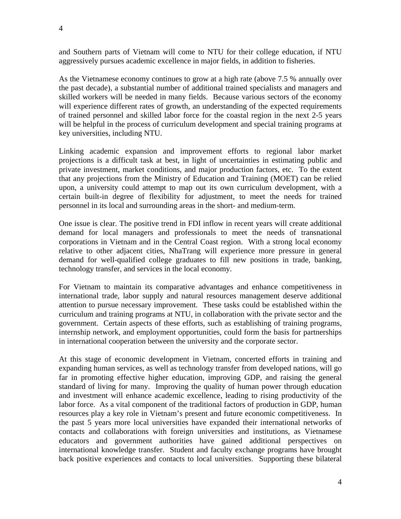and Southern parts of Vietnam will come to NTU for their college education, if NTU aggressively pursues academic excellence in major fields, in addition to fisheries.

As the Vietnamese economy continues to grow at a high rate (above 7.5 % annually over the past decade), a substantial number of additional trained specialists and managers and skilled workers will be needed in many fields. Because various sectors of the economy will experience different rates of growth, an understanding of the expected requirements of trained personnel and skilled labor force for the coastal region in the next 2-5 years will be helpful in the process of curriculum development and special training programs at key universities, including NTU.

Linking academic expansion and improvement efforts to regional labor market projections is a difficult task at best, in light of uncertainties in estimating public and private investment, market conditions, and major production factors, etc. To the extent that any projections from the Ministry of Education and Training (MOET) can be relied upon, a university could attempt to map out its own curriculum development, with a certain built-in degree of flexibility for adjustment, to meet the needs for trained personnel in its local and surrounding areas in the short- and medium-term.

One issue is clear. The positive trend in FDI inflow in recent years will create additional demand for local managers and professionals to meet the needs of transnational corporations in Vietnam and in the Central Coast region. With a strong local economy relative to other adjacent cities, NhaTrang will experience more pressure in general demand for well-qualified college graduates to fill new positions in trade, banking, technology transfer, and services in the local economy.

For Vietnam to maintain its comparative advantages and enhance competitiveness in international trade, labor supply and natural resources management deserve additional attention to pursue necessary improvement. These tasks could be established within the curriculum and training programs at NTU, in collaboration with the private sector and the government. Certain aspects of these efforts, such as establishing of training programs, internship network, and employment opportunities, could form the basis for partnerships in international cooperation between the university and the corporate sector.

At this stage of economic development in Vietnam, concerted efforts in training and expanding human services, as well as technology transfer from developed nations, will go far in promoting effective higher education, improving GDP, and raising the general standard of living for many. Improving the quality of human power through education and investment will enhance academic excellence, leading to rising productivity of the labor force. As a vital component of the traditional factors of production in GDP, human resources play a key role in Vietnam's present and future economic competitiveness. In the past 5 years more local universities have expanded their international networks of contacts and collaborations with foreign universities and institutions, as Vietnamese educators and government authorities have gained additional perspectives on international knowledge transfer. Student and faculty exchange programs have brought back positive experiences and contacts to local universities. Supporting these bilateral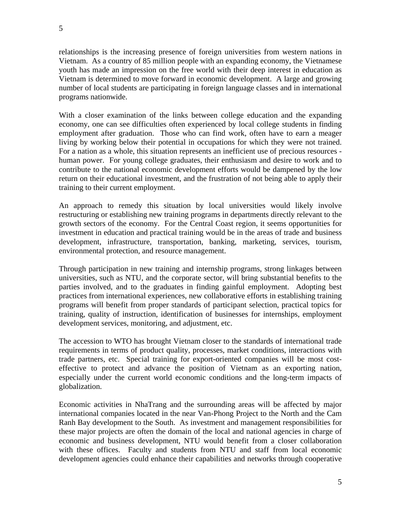relationships is the increasing presence of foreign universities from western nations in Vietnam. As a country of 85 million people with an expanding economy, the Vietnamese youth has made an impression on the free world with their deep interest in education as Vietnam is determined to move forward in economic development. A large and growing number of local students are participating in foreign language classes and in international programs nationwide.

With a closer examination of the links between college education and the expanding economy, one can see difficulties often experienced by local college students in finding employment after graduation. Those who can find work, often have to earn a meager living by working below their potential in occupations for which they were not trained. For a nation as a whole, this situation represents an inefficient use of precious resources human power. For young college graduates, their enthusiasm and desire to work and to contribute to the national economic development efforts would be dampened by the low return on their educational investment, and the frustration of not being able to apply their training to their current employment.

An approach to remedy this situation by local universities would likely involve restructuring or establishing new training programs in departments directly relevant to the growth sectors of the economy. For the Central Coast region, it seems opportunities for investment in education and practical training would be in the areas of trade and business development, infrastructure, transportation, banking, marketing, services, tourism, environmental protection, and resource management.

Through participation in new training and internship programs, strong linkages between universities, such as NTU, and the corporate sector, will bring substantial benefits to the parties involved, and to the graduates in finding gainful employment. Adopting best practices from international experiences, new collaborative efforts in establishing training programs will benefit from proper standards of participant selection, practical topics for training, quality of instruction, identification of businesses for internships, employment development services, monitoring, and adjustment, etc.

The accession to WTO has brought Vietnam closer to the standards of international trade requirements in terms of product quality, processes, market conditions, interactions with trade partners, etc. Special training for export-oriented companies will be most costeffective to protect and advance the position of Vietnam as an exporting nation, especially under the current world economic conditions and the long-term impacts of globalization.

Economic activities in NhaTrang and the surrounding areas will be affected by major international companies located in the near Van-Phong Project to the North and the Cam Ranh Bay development to the South. As investment and management responsibilities for these major projects are often the domain of the local and national agencies in charge of economic and business development, NTU would benefit from a closer collaboration with these offices. Faculty and students from NTU and staff from local economic development agencies could enhance their capabilities and networks through cooperative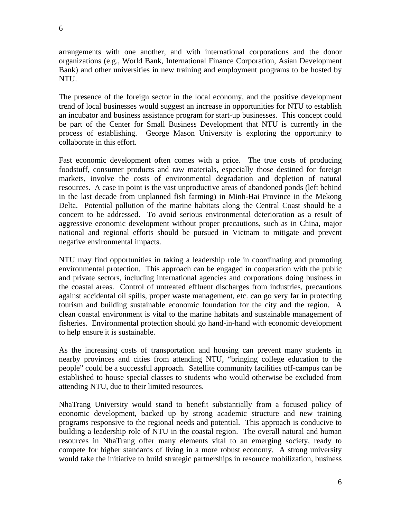arrangements with one another, and with international corporations and the donor organizations (e.g., World Bank, International Finance Corporation, Asian Development Bank) and other universities in new training and employment programs to be hosted by NTU.

The presence of the foreign sector in the local economy, and the positive development trend of local businesses would suggest an increase in opportunities for NTU to establish an incubator and business assistance program for start-up businesses. This concept could be part of the Center for Small Business Development that NTU is currently in the process of establishing. George Mason University is exploring the opportunity to collaborate in this effort.

Fast economic development often comes with a price. The true costs of producing foodstuff, consumer products and raw materials, especially those destined for foreign markets, involve the costs of environmental degradation and depletion of natural resources. A case in point is the vast unproductive areas of abandoned ponds (left behind in the last decade from unplanned fish farming) in Minh-Hai Province in the Mekong Delta. Potential pollution of the marine habitats along the Central Coast should be a concern to be addressed. To avoid serious environmental deterioration as a result of aggressive economic development without proper precautions, such as in China, major national and regional efforts should be pursued in Vietnam to mitigate and prevent negative environmental impacts.

NTU may find opportunities in taking a leadership role in coordinating and promoting environmental protection. This approach can be engaged in cooperation with the public and private sectors, including international agencies and corporations doing business in the coastal areas. Control of untreated effluent discharges from industries, precautions against accidental oil spills, proper waste management, etc. can go very far in protecting tourism and building sustainable economic foundation for the city and the region. A clean coastal environment is vital to the marine habitats and sustainable management of fisheries. Environmental protection should go hand-in-hand with economic development to help ensure it is sustainable.

As the increasing costs of transportation and housing can prevent many students in nearby provinces and cities from attending NTU, "bringing college education to the people" could be a successful approach. Satellite community facilities off-campus can be established to house special classes to students who would otherwise be excluded from attending NTU, due to their limited resources.

NhaTrang University would stand to benefit substantially from a focused policy of economic development, backed up by strong academic structure and new training programs responsive to the regional needs and potential. This approach is conducive to building a leadership role of NTU in the coastal region. The overall natural and human resources in NhaTrang offer many elements vital to an emerging society, ready to compete for higher standards of living in a more robust economy. A strong university would take the initiative to build strategic partnerships in resource mobilization, business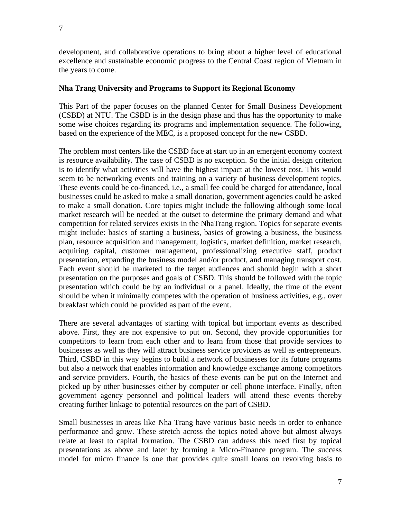development, and collaborative operations to bring about a higher level of educational excellence and sustainable economic progress to the Central Coast region of Vietnam in the years to come.

# **Nha Trang University and Programs to Support its Regional Economy**

This Part of the paper focuses on the planned Center for Small Business Development (CSBD) at NTU. The CSBD is in the design phase and thus has the opportunity to make some wise choices regarding its programs and implementation sequence. The following, based on the experience of the MEC, is a proposed concept for the new CSBD.

The problem most centers like the CSBD face at start up in an emergent economy context is resource availability. The case of CSBD is no exception. So the initial design criterion is to identify what activities will have the highest impact at the lowest cost. This would seem to be networking events and training on a variety of business development topics. These events could be co-financed, i.e., a small fee could be charged for attendance, local businesses could be asked to make a small donation, government agencies could be asked to make a small donation. Core topics might include the following although some local market research will be needed at the outset to determine the primary demand and what competition for related services exists in the NhaTrang region. Topics for separate events might include: basics of starting a business, basics of growing a business, the business plan, resource acquisition and management, logistics, market definition, market research, acquiring capital, customer management, professionalizing executive staff, product presentation, expanding the business model and/or product, and managing transport cost. Each event should be marketed to the target audiences and should begin with a short presentation on the purposes and goals of CSBD. This should be followed with the topic presentation which could be by an individual or a panel. Ideally, the time of the event should be when it minimally competes with the operation of business activities, e.g., over breakfast which could be provided as part of the event.

There are several advantages of starting with topical but important events as described above. First, they are not expensive to put on. Second, they provide opportunities for competitors to learn from each other and to learn from those that provide services to businesses as well as they will attract business service providers as well as entrepreneurs. Third, CSBD in this way begins to build a network of businesses for its future programs but also a network that enables information and knowledge exchange among competitors and service providers. Fourth, the basics of these events can be put on the Internet and picked up by other businesses either by computer or cell phone interface. Finally, often government agency personnel and political leaders will attend these events thereby creating further linkage to potential resources on the part of CSBD.

Small businesses in areas like Nha Trang have various basic needs in order to enhance performance and grow. These stretch across the topics noted above but almost always relate at least to capital formation. The CSBD can address this need first by topical presentations as above and later by forming a Micro-Finance program. The success model for micro finance is one that provides quite small loans on revolving basis to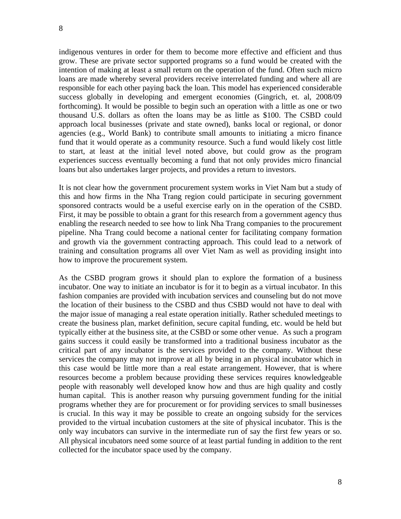indigenous ventures in order for them to become more effective and efficient and thus grow. These are private sector supported programs so a fund would be created with the intention of making at least a small return on the operation of the fund. Often such micro loans are made whereby several providers receive interrelated funding and where all are responsible for each other paying back the loan. This model has experienced considerable success globally in developing and emergent economies (Gingrich, et. al, 2008/09 forthcoming). It would be possible to begin such an operation with a little as one or two thousand U.S. dollars as often the loans may be as little as \$100. The CSBD could approach local businesses (private and state owned), banks local or regional, or donor agencies (e.g., World Bank) to contribute small amounts to initiating a micro finance fund that it would operate as a community resource. Such a fund would likely cost little to start, at least at the initial level noted above, but could grow as the program experiences success eventually becoming a fund that not only provides micro financial loans but also undertakes larger projects, and provides a return to investors.

It is not clear how the government procurement system works in Viet Nam but a study of this and how firms in the Nha Trang region could participate in securing government sponsored contracts would be a useful exercise early on in the operation of the CSBD. First, it may be possible to obtain a grant for this research from a government agency thus enabling the research needed to see how to link Nha Trang companies to the procurement pipeline. Nha Trang could become a national center for facilitating company formation and growth via the government contracting approach. This could lead to a network of training and consultation programs all over Viet Nam as well as providing insight into how to improve the procurement system.

As the CSBD program grows it should plan to explore the formation of a business incubator. One way to initiate an incubator is for it to begin as a virtual incubator. In this fashion companies are provided with incubation services and counseling but do not move the location of their business to the CSBD and thus CSBD would not have to deal with the major issue of managing a real estate operation initially. Rather scheduled meetings to create the business plan, market definition, secure capital funding, etc. would be held but typically either at the business site, at the CSBD or some other venue. As such a program gains success it could easily be transformed into a traditional business incubator as the critical part of any incubator is the services provided to the company. Without these services the company may not improve at all by being in an physical incubator which in this case would be little more than a real estate arrangement. However, that is where resources become a problem because providing these services requires knowledgeable people with reasonably well developed know how and thus are high quality and costly human capital. This is another reason why pursuing government funding for the initial programs whether they are for procurement or for providing services to small businesses is crucial. In this way it may be possible to create an ongoing subsidy for the services provided to the virtual incubation customers at the site of physical incubator. This is the only way incubators can survive in the intermediate run of say the first few years or so. All physical incubators need some source of at least partial funding in addition to the rent collected for the incubator space used by the company.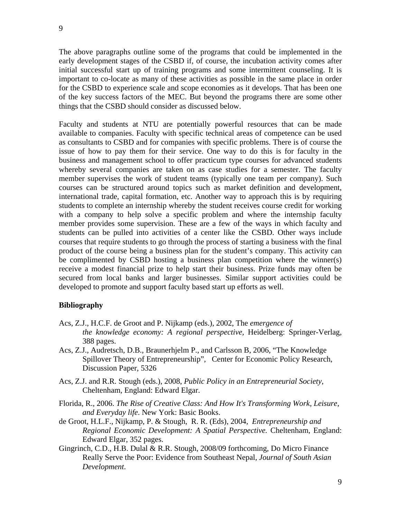The above paragraphs outline some of the programs that could be implemented in the early development stages of the CSBD if, of course, the incubation activity comes after initial successful start up of training programs and some intermittent counseling. It is important to co-locate as many of these activities as possible in the same place in order for the CSBD to experience scale and scope economies as it develops. That has been one of the key success factors of the MEC. But beyond the programs there are some other things that the CSBD should consider as discussed below.

Faculty and students at NTU are potentially powerful resources that can be made available to companies. Faculty with specific technical areas of competence can be used as consultants to CSBD and for companies with specific problems. There is of course the issue of how to pay them for their service. One way to do this is for faculty in the business and management school to offer practicum type courses for advanced students whereby several companies are taken on as case studies for a semester. The faculty member supervises the work of student teams (typically one team per company). Such courses can be structured around topics such as market definition and development, international trade, capital formation, etc. Another way to approach this is by requiring students to complete an internship whereby the student receives course credit for working with a company to help solve a specific problem and where the internship faculty member provides some supervision. These are a few of the ways in which faculty and students can be pulled into activities of a center like the CSBD. Other ways include courses that require students to go through the process of starting a business with the final product of the course being a business plan for the student's company. This activity can be complimented by CSBD hosting a business plan competition where the winner(s) receive a modest financial prize to help start their business. Prize funds may often be secured from local banks and larger businesses. Similar support activities could be developed to promote and support faculty based start up efforts as well.

# **Bibliography**

- Acs, Z.J., H.C.F. de Groot and P. Nijkamp (eds.), 2002, The *emergence of the knowledge economy: A regional perspective,* Heidelberg: Springer-Verlag, 388 pages.
- Acs, Z.J., Audretsch, D.B., Braunerhjelm P., and Carlsson B, 2006, "The Knowledge Spillover Theory of Entrepreneurship", Center for Economic Policy Research, Discussion Paper, 5326
- Acs, Z.J. and R.R. Stough (eds.), 2008, *Public Policy in an Entrepreneurial Society*, Cheltenham, England: Edward Elgar.
- Florida, R., 2006. *The Rise of Creative Class: And How It's Transforming Work, Leisure, and Everyday life*. New York: Basic Books.
- de Groot, H.L.F., Nijkamp, P. & Stough, R. R. (Eds), 2004, *Entrepreneurship and Regional Economic Development: A Spatial Perspective.* Cheltenham, England: Edward Elgar, 352 pages.
- Gingrinch, C.D., H.B. Dulal & R.R. Stough, 2008/09 forthcoming, Do Micro Finance Really Serve the Poor: Evidence from Southeast Nepal, *Journal of South Asian Development*.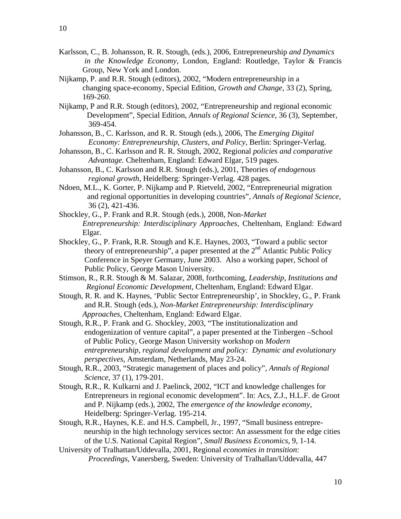10

- Karlsson, C., B. Johansson, R. R. Stough, (eds.), 2006, Entrepreneurship *and Dynamics in the Knowledge Economy,* London, England: Routledge, Taylor & Francis Group, New York and London.
- Nijkamp, P. and R.R. Stough (editors), 2002, "Modern entrepreneurship in a changing space-economy, Special Edition, *Growth and Change*, 33 (2), Spring, 169-260.
- Nijkamp, P and R.R. Stough (editors), 2002, "Entrepreneurship and regional economic Development"*,* Special Edition, *Annals of Regional Science*, 36 (3), September, 369-454.
- Johansson, B., C. Karlsson, and R. R. Stough (eds.), 2006, The *Emerging Digital Economy: Entrepreneurship, Clusters, and Policy,* Berlin: Springer-Verlag.
- Johansson, B., C. Karlsson and R. R. Stough, 2002, Regional *policies and comparative Advantage.* Cheltenham, England: Edward Elgar, 519 pages.
- Johansson, B., C. Karlsson and R.R. Stough (eds.), 2001, Theories *of endogenous regional growth*, Heidelberg: Springer-Verlag. 428 pages*.*
- Ndoen, M.L., K. Gorter, P. Nijkamp and P. Rietveld, 2002, "Entrepreneurial migration and regional opportunities in developing countries", *Annals of Regional Science*, 36 (2), 421-436.
- Shockley, G., P. Frank and R.R. Stough (eds.), 2008, Non*-Market Entrepreneurship: Interdisciplinary Approaches*, Cheltenham, England: Edward Elgar.
- Shockley, G., P. Frank, R.R. Stough and K.E. Haynes, 2003, "Toward a public sector theory of entrepreneurship", a paper presented at the  $2<sup>nd</sup>$  Atlantic Public Policy Conference in Speyer Germany, June 2003. Also a working paper, School of Public Policy, George Mason University.
- Stimson, R., R.R. Stough & M. Salazar, 2008, forthcoming, *Leadership, Institutions and Regional Economic Development*, Cheltenham, England: Edward Elgar.
- Stough, R. R. and K. Haynes, 'Public Sector Entrepreneurship', in Shockley, G., P. Frank and R.R. Stough (eds.), *Non-Market Entrepreneurship: Interdisciplinary Approaches*, Cheltenham, England: Edward Elgar.
- Stough, R.R., P. Frank and G. Shockley, 2003, "The institutionalization and endogenization of venture capital", a paper presented at the Tinbergen –School of Public Policy, George Mason University workshop on *Modern entrepreneurship, regional development and policy: Dynamic and evolutionary perspectives,* Amsterdam, Netherlands, May 23-24.
- Stough, R.R., 2003, "Strategic management of places and policy", *Annals of Regional Science,* 37 (1), 179-201.
- Stough, R.R., R. Kulkarni and J. Paelinck, 2002, "ICT and knowledge challenges for Entrepreneurs in regional economic development". In: Acs, Z.J., H.L.F. de Groot and P. Nijkamp (eds.), 2002, The *emergence of the knowledge economy*, Heidelberg: Springer-Verlag. 195-214.
- Stough, R.R., Haynes, K.E. and H.S. Campbell, Jr., 1997, "Small business entrepre neurship in the high technology services sector: An assessment for the edge cities of the U.S. National Capital Region", *Small Business Economics,* 9, 1-14.
- University of Tralhattan/Uddevalla, 2001, Regional *economies in transition*: *Proceedings*, Vanersberg, Sweden: University of Tralhallan/Uddevalla, 447